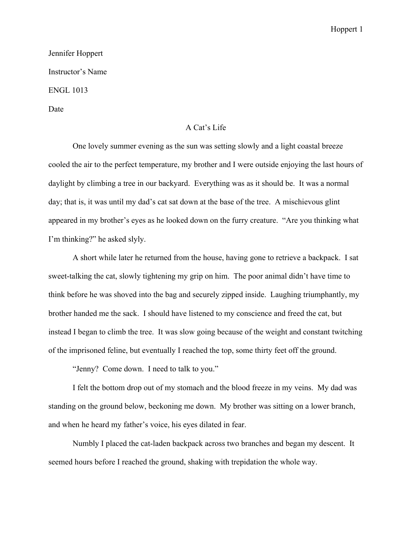## Hoppert 1

## Jennifer Hoppert Instructor's Name ENGL 1013 Date

## A Cat's Life

One lovely summer evening as the sun was setting slowly and a light coastal breeze cooled the air to the perfect temperature, my brother and I were outside enjoying the last hours of daylight by climbing a tree in our backyard. Everything was as it should be. It was a normal day; that is, it was until my dad's cat sat down at the base of the tree. A mischievous glint appeared in my brother's eyes as he looked down on the furry creature. "Are you thinking what I'm thinking?" he asked slyly.

A short while later he returned from the house, having gone to retrieve a backpack. I sat sweet-talking the cat, slowly tightening my grip on him. The poor animal didn't have time to think before he was shoved into the bag and securely zipped inside. Laughing triumphantly, my brother handed me the sack. I should have listened to my conscience and freed the cat, but instead I began to climb the tree. It was slow going because of the weight and constant twitching of the imprisoned feline, but eventually I reached the top, some thirty feet off the ground.

"Jenny? Come down. I need to talk to you."

I felt the bottom drop out of my stomach and the blood freeze in my veins. My dad was standing on the ground below, beckoning me down. My brother was sitting on a lower branch, and when he heard my father's voice, his eyes dilated in fear.

Numbly I placed the cat-laden backpack across two branches and began my descent. It seemed hours before I reached the ground, shaking with trepidation the whole way.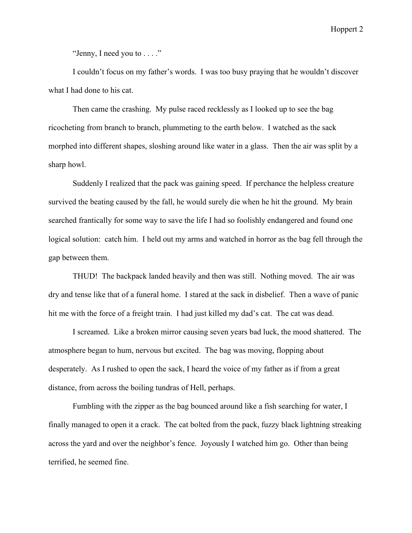Hoppert 2

"Jenny, I need you to  $\dots$ ."

I couldn't focus on my father's words. I was too busy praying that he wouldn't discover what I had done to his cat.

Then came the crashing. My pulse raced recklessly as I looked up to see the bag ricocheting from branch to branch, plummeting to the earth below. I watched as the sack morphed into different shapes, sloshing around like water in a glass. Then the air was split by a sharp howl.

Suddenly I realized that the pack was gaining speed. If perchance the helpless creature survived the beating caused by the fall, he would surely die when he hit the ground. My brain searched frantically for some way to save the life I had so foolishly endangered and found one logical solution: catch him. I held out my arms and watched in horror as the bag fell through the gap between them.

THUD! The backpack landed heavily and then was still. Nothing moved. The air was dry and tense like that of a funeral home. I stared at the sack in disbelief. Then a wave of panic hit me with the force of a freight train. I had just killed my dad's cat. The cat was dead.

I screamed. Like a broken mirror causing seven years bad luck, the mood shattered. The atmosphere began to hum, nervous but excited. The bag was moving, flopping about desperately. As I rushed to open the sack, I heard the voice of my father as if from a great distance, from across the boiling tundras of Hell, perhaps.

Fumbling with the zipper as the bag bounced around like a fish searching for water, I finally managed to open it a crack. The cat bolted from the pack, fuzzy black lightning streaking across the yard and over the neighbor's fence. Joyously I watched him go. Other than being terrified, he seemed fine.